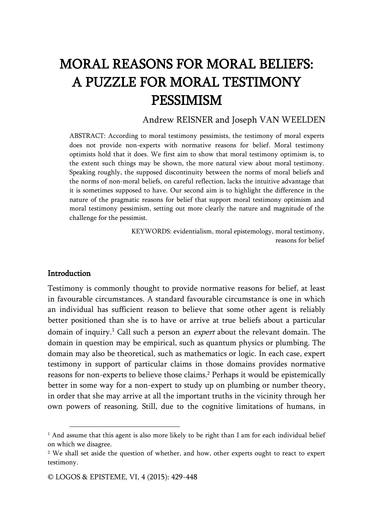# MORAL REASONS FOR MORAL BELIEFS: A PUZZLE FOR MORAL TESTIMONY **PESSIMISM**

## Andrew REISNER and Joseph VAN WEELDEN

ABSTRACT: According to moral testimony pessimists, the testimony of moral experts does not provide non-experts with normative reasons for belief. Moral testimony optimists hold that it does. We first aim to show that moral testimony optimism is, to the extent such things may be shown, the more natural view about moral testimony. Speaking roughly, the supposed discontinuity between the norms of moral beliefs and the norms of non-moral beliefs, on careful reflection, lacks the intuitive advantage that it is sometimes supposed to have. Our second aim is to highlight the difference in the nature of the pragmatic reasons for belief that support moral testimony optimism and moral testimony pessimism, setting out more clearly the nature and magnitude of the challenge for the pessimist.

> KEYWORDS: evidentialism, moral epistemology, moral testimony, reasons for belief

#### **Introduction**

j

Testimony is commonly thought to provide normative reasons for belief, at least in favourable circumstances. A standard favourable circumstance is one in which an individual has sufficient reason to believe that some other agent is reliably better positioned than she is to have or arrive at true beliefs about a particular domain of inquiry.<sup>1</sup> Call such a person an *expert* about the relevant domain. The domain in question may be empirical, such as quantum physics or plumbing. The domain may also be theoretical, such as mathematics or logic. In each case, expert testimony in support of particular claims in those domains provides normative reasons for non-experts to believe those claims.<sup>2</sup> Perhaps it would be epistemically better in some way for a non-expert to study up on plumbing or number theory, in order that she may arrive at all the important truths in the vicinity through her own powers of reasoning. Still, due to the cognitive limitations of humans, in

 $<sup>1</sup>$  And assume that this agent is also more likely to be right than I am for each individual belief</sup> on which we disagree.

<sup>&</sup>lt;sup>2</sup> We shall set aside the question of whether, and how, other experts ought to react to expert testimony.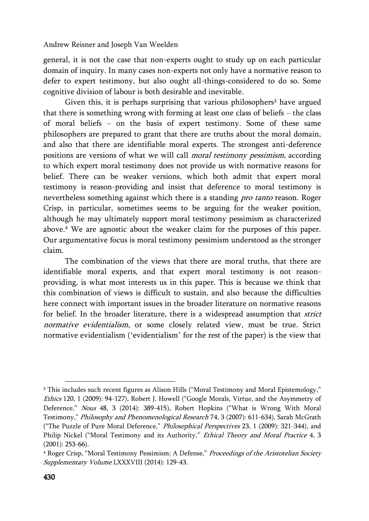general, it is not the case that non-experts ought to study up on each particular domain of inquiry. In many cases non-experts not only have a normative reason to defer to expert testimony, but also ought all-things-considered to do so. Some cognitive division of labour is both desirable and inevitable.

Given this, it is perhaps surprising that various philosophers<sup>3</sup> have argued that there is something wrong with forming at least one class of beliefs – the class of moral beliefs – on the basis of expert testimony. Some of these same philosophers are prepared to grant that there are truths about the moral domain, and also that there are identifiable moral experts. The strongest anti-deference positions are versions of what we will call moral testimony pessimism, according to which expert moral testimony does not provide us with normative reasons for belief. There can be weaker versions, which both admit that expert moral testimony is reason-providing and insist that deference to moral testimony is nevertheless something against which there is a standing pro tanto reason. Roger Crisp, in particular, sometimes seems to be arguing for the weaker position, although he may ultimately support moral testimony pessimism as characterized above.<sup>4</sup> We are agnostic about the weaker claim for the purposes of this paper. Our argumentative focus is moral testimony pessimism understood as the stronger claim.

The combination of the views that there are moral truths, that there are identifiable moral experts, and that expert moral testimony is not reasonproviding, is what most interests us in this paper. This is because we think that this combination of views is difficult to sustain, and also because the difficulties here connect with important issues in the broader literature on normative reasons for belief. In the broader literature, there is a widespread assumption that *strict* normative evidentialism, or some closely related view, must be true. Strict normative evidentialism ('evidentialism' for the rest of the paper) is the view that

<sup>&</sup>lt;sup>3</sup> This includes such recent figures as Alison Hills ("Moral Testimony and Moral Epistemology," Ethics 120, 1 (2009): 94-127), Robert J. Howell ("Google Morals, Virtue, and the Asymmetry of Deference," Nous 48, 3 (2014): 389-415), Robert Hopkins ("What is Wrong With Moral Testimony," Philosophy and Phenomenological Research 74, 3 (2007): 611-634), Sarah McGrath ("The Puzzle of Pure Moral Deference," Philosophical Perspectives 23, 1 (2009): 321-344), and Philip Nickel ("Moral Testimony and its Authority," Ethical Theory and Moral Practice 4, 3 (2001): 253-66).

<sup>&</sup>lt;sup>4</sup> Roger Crisp, "Moral Testimony Pessimism: A Defense," Proceedings of the Aristotelian Society Supplementary Volume LXXXVIII (2014): 129-43.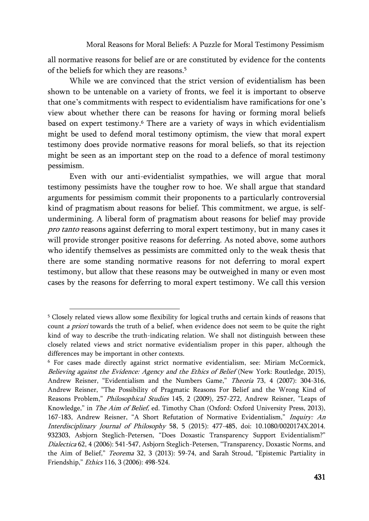all normative reasons for belief are or are constituted by evidence for the contents of the beliefs for which they are reasons.<sup>5</sup>

While we are convinced that the strict version of evidentialism has been shown to be untenable on a variety of fronts, we feel it is important to observe that one's commitments with respect to evidentialism have ramifications for one's view about whether there can be reasons for having or forming moral beliefs based on expert testimony.<sup>6</sup> There are a variety of ways in which evidentialism might be used to defend moral testimony optimism, the view that moral expert testimony does provide normative reasons for moral beliefs, so that its rejection might be seen as an important step on the road to a defence of moral testimony pessimism.

Even with our anti-evidentialist sympathies, we will argue that moral testimony pessimists have the tougher row to hoe. We shall argue that standard arguments for pessimism commit their proponents to a particularly controversial kind of pragmatism about reasons for belief. This commitment, we argue, is selfundermining. A liberal form of pragmatism about reasons for belief may provide pro tanto reasons against deferring to moral expert testimony, but in many cases it will provide stronger positive reasons for deferring. As noted above, some authors who identify themselves as pessimists are committed only to the weak thesis that there are some standing normative reasons for not deferring to moral expert testimony, but allow that these reasons may be outweighed in many or even most cases by the reasons for deferring to moral expert testimony. We call this version

<sup>5</sup> Closely related views allow some flexibility for logical truths and certain kinds of reasons that count a priori towards the truth of a belief, when evidence does not seem to be quite the right kind of way to describe the truth-indicating relation. We shall not distinguish between these closely related views and strict normative evidentialism proper in this paper, although the differences may be important in other contexts.

<sup>6</sup> For cases made directly against strict normative evidentialism, see: Miriam McCormick, Believing against the Evidence: Agency and the Ethics of Belief (New York: Routledge, 2015), Andrew Reisner, "Evidentialism and the Numbers Game," Theoria 73, 4 (2007): 304-316, Andrew Reisner, "The Possibility of Pragmatic Reasons For Belief and the Wrong Kind of Reasons Problem," Philosophical Studies 145, 2 (2009), 257-272, Andrew Reisner, "Leaps of Knowledge," in The Aim of Belief, ed. Timothy Chan (Oxford: Oxford University Press, 2013), 167-183, Andrew Reisner, "A Short Refutation of Normative Evidentialism," Inquiry: An Interdisciplinary Journal of Philosophy 58, 5 (2015): 477-485, doi: 10.1080/0020174X.2014. 932303, Asbjorn Steglich-Petersen, "Does Doxastic Transparency Support Evidentialism?" Dialectica 62, 4 (2006): 541-547, Asbjorn Steglich-Petersen, "Transparency, Doxastic Norms, and the Aim of Belief," Teorema 32, 3 (2013): 59-74, and Sarah Stroud, "Epistemic Partiality in Friendship," Ethics 116, 3 (2006): 498-524.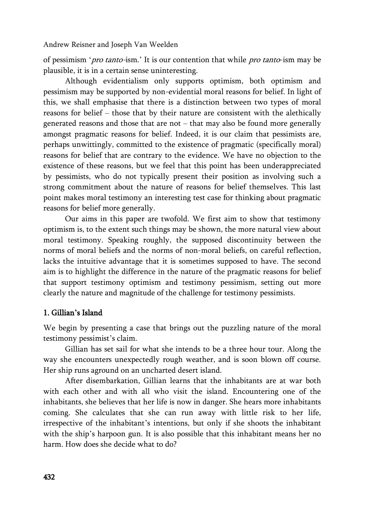of pessimism 'pro tanto-ism.' It is our contention that while pro tanto-ism may be plausible, it is in a certain sense uninteresting.

Although evidentialism only supports optimism, both optimism and pessimism may be supported by non-evidential moral reasons for belief. In light of this, we shall emphasise that there is a distinction between two types of moral reasons for belief – those that by their nature are consistent with the alethically generated reasons and those that are not – that may also be found more generally amongst pragmatic reasons for belief. Indeed, it is our claim that pessimists are, perhaps unwittingly, committed to the existence of pragmatic (specifically moral) reasons for belief that are contrary to the evidence. We have no objection to the existence of these reasons, but we feel that this point has been underappreciated by pessimists, who do not typically present their position as involving such a strong commitment about the nature of reasons for belief themselves. This last point makes moral testimony an interesting test case for thinking about pragmatic reasons for belief more generally.

Our aims in this paper are twofold. We first aim to show that testimony optimism is, to the extent such things may be shown, the more natural view about moral testimony. Speaking roughly, the supposed discontinuity between the norms of moral beliefs and the norms of non-moral beliefs, on careful reflection, lacks the intuitive advantage that it is sometimes supposed to have. The second aim is to highlight the difference in the nature of the pragmatic reasons for belief that support testimony optimism and testimony pessimism, setting out more clearly the nature and magnitude of the challenge for testimony pessimists.

## 1. Gillian**'**s Island

We begin by presenting a case that brings out the puzzling nature of the moral testimony pessimist's claim.

Gillian has set sail for what she intends to be a three hour tour. Along the way she encounters unexpectedly rough weather, and is soon blown off course. Her ship runs aground on an uncharted desert island.

After disembarkation, Gillian learns that the inhabitants are at war both with each other and with all who visit the island. Encountering one of the inhabitants, she believes that her life is now in danger. She hears more inhabitants coming. She calculates that she can run away with little risk to her life, irrespective of the inhabitant's intentions, but only if she shoots the inhabitant with the ship's harpoon gun. It is also possible that this inhabitant means her no harm. How does she decide what to do?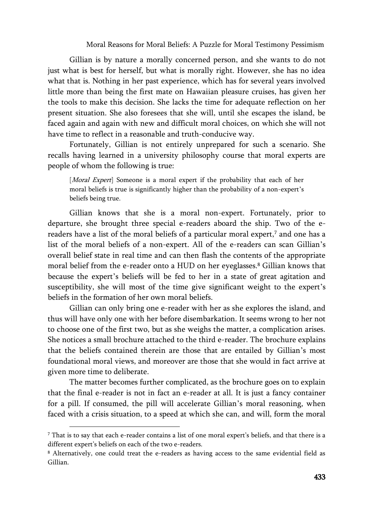Moral Reasons for Moral Beliefs: A Puzzle for Moral Testimony Pessimism

Gillian is by nature a morally concerned person, and she wants to do not just what is best for herself, but what is morally right. However, she has no idea what that is. Nothing in her past experience, which has for several years involved little more than being the first mate on Hawaiian pleasure cruises, has given her the tools to make this decision. She lacks the time for adequate reflection on her present situation. She also foresees that she will, until she escapes the island, be faced again and again with new and difficult moral choices, on which she will not have time to reflect in a reasonable and truth-conducive way.

Fortunately, Gillian is not entirely unprepared for such a scenario. She recalls having learned in a university philosophy course that moral experts are people of whom the following is true:

[Moral Expert] Someone is a moral expert if the probability that each of her moral beliefs is true is significantly higher than the probability of a non-expert's beliefs being true.

Gillian knows that she is a moral non-expert. Fortunately, prior to departure, she brought three special e-readers aboard the ship. Two of the ereaders have a list of the moral beliefs of a particular moral expert, $7$  and one has a list of the moral beliefs of a non-expert. All of the e-readers can scan Gillian's overall belief state in real time and can then flash the contents of the appropriate moral belief from the e-reader onto a HUD on her eyeglasses.<sup>8</sup> Gillian knows that because the expert's beliefs will be fed to her in a state of great agitation and susceptibility, she will most of the time give significant weight to the expert's beliefs in the formation of her own moral beliefs.

Gillian can only bring one e-reader with her as she explores the island, and thus will have only one with her before disembarkation. It seems wrong to her not to choose one of the first two, but as she weighs the matter, a complication arises. She notices a small brochure attached to the third e-reader. The brochure explains that the beliefs contained therein are those that are entailed by Gillian's most foundational moral views, and moreover are those that she would in fact arrive at given more time to deliberate.

The matter becomes further complicated, as the brochure goes on to explain that the final e-reader is not in fact an e-reader at all. It is just a fancy container for a pill. If consumed, the pill will accelerate Gillian's moral reasoning, when faced with a crisis situation, to a speed at which she can, and will, form the moral

<sup>7</sup> That is to say that each e-reader contains a list of one moral expert's beliefs, and that there is a different expert's beliefs on each of the two e-readers.

<sup>8</sup> Alternatively, one could treat the e-readers as having access to the same evidential field as Gillian.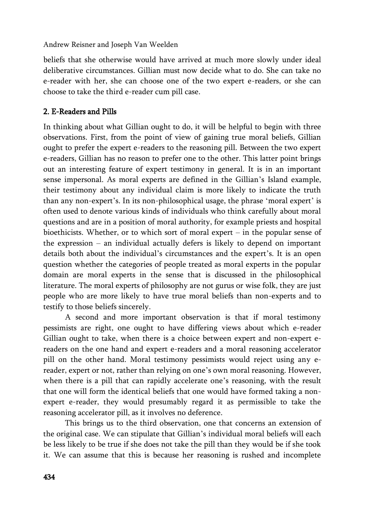beliefs that she otherwise would have arrived at much more slowly under ideal deliberative circumstances. Gillian must now decide what to do. She can take no e-reader with her, she can choose one of the two expert e-readers, or she can choose to take the third e-reader cum pill case.

## 2. E-Readers and Pills

In thinking about what Gillian ought to do, it will be helpful to begin with three observations. First, from the point of view of gaining true moral beliefs, Gillian ought to prefer the expert e-readers to the reasoning pill. Between the two expert e-readers, Gillian has no reason to prefer one to the other. This latter point brings out an interesting feature of expert testimony in general. It is in an important sense impersonal. As moral experts are defined in the Gillian's Island example, their testimony about any individual claim is more likely to indicate the truth than any non-expert's. In its non-philosophical usage, the phrase 'moral expert' is often used to denote various kinds of individuals who think carefully about moral questions and are in a position of moral authority, for example priests and hospital bioethicists. Whether, or to which sort of moral expert – in the popular sense of the expression – an individual actually defers is likely to depend on important details both about the individual's circumstances and the expert's. It is an open question whether the categories of people treated as moral experts in the popular domain are moral experts in the sense that is discussed in the philosophical literature. The moral experts of philosophy are not gurus or wise folk, they are just people who are more likely to have true moral beliefs than non-experts and to testify to those beliefs sincerely.

A second and more important observation is that if moral testimony pessimists are right, one ought to have differing views about which e-reader Gillian ought to take, when there is a choice between expert and non-expert ereaders on the one hand and expert e-readers and a moral reasoning accelerator pill on the other hand. Moral testimony pessimists would reject using any ereader, expert or not, rather than relying on one's own moral reasoning. However, when there is a pill that can rapidly accelerate one's reasoning, with the result that one will form the identical beliefs that one would have formed taking a nonexpert e-reader, they would presumably regard it as permissible to take the reasoning accelerator pill, as it involves no deference.

This brings us to the third observation, one that concerns an extension of the original case. We can stipulate that Gillian's individual moral beliefs will each be less likely to be true if she does not take the pill than they would be if she took it. We can assume that this is because her reasoning is rushed and incomplete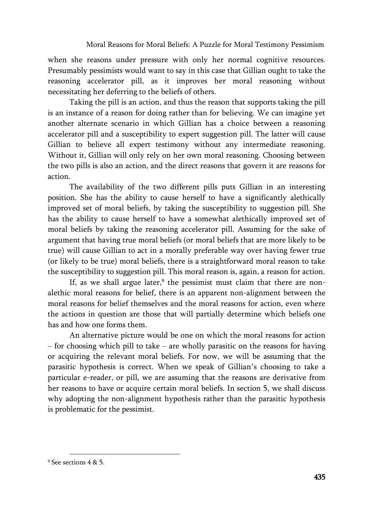when she reasons under pressure with only her normal cognitive resources. Presumably pessimists would want to say in this case that Gillian ought to take the reasoning accelerator pill, as it improves her moral reasoning without necessitating her deferring to the beliefs of others.

Taking the pill is an action, and thus the reason that supports taking the pill is an instance of a reason for doing rather than for believing. We can imagine yet another alternate scenario in which Gillian has a choice between a reasoning accelerator pill and a susceptibility to expert suggestion pill. The latter will cause Gillian to believe all expert testimony without any intermediate reasoning. Without it, Gillian will only rely on her own moral reasoning. Choosing between the two pills is also an action, and the direct reasons that govern it are reasons for action.

The availability of the two different pills puts Gillian in an interesting position. She has the ability to cause herself to have a significantly alethically improved set of moral beliefs, by taking the susceptibility to suggestion pill. She has the ability to cause herself to have a somewhat alethically improved set of moral beliefs by taking the reasoning accelerator pill. Assuming for the sake of argument that having true moral beliefs (or moral beliefs that are more likely to be true) will cause Gillian to act in a morally preferable way over having fewer true (or likely to be true) moral beliefs, there is a straightforward moral reason to take the susceptibility to suggestion pill. This moral reason is, again, a reason for action.

If, as we shall argue later, $^9$  the pessimist must claim that there are nonalethic moral reasons for belief, there is an apparent non-alignment between the moral reasons for belief themselves and the moral reasons for action, even where the actions in question are those that will partially determine which beliefs one has and how one forms them.

An alternative picture would be one on which the moral reasons for action – for choosing which pill to take – are wholly parasitic on the reasons for having or acquiring the relevant moral beliefs. For now, we will be assuming that the parasitic hypothesis is correct. When we speak of Gillian's choosing to take a particular e-reader, or pill, we are assuming that the reasons are derivative from her reasons to have or acquire certain moral beliefs. In section 5, we shall discuss why adopting the non-alignment hypothesis rather than the parasitic hypothesis is problematic for the pessimist.

<sup>9</sup> See sections 4 & 5.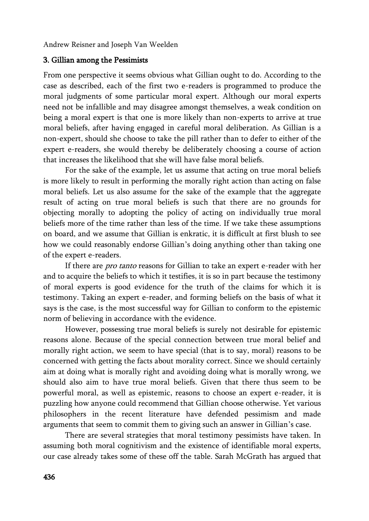#### 3. Gillian among the Pessimists

From one perspective it seems obvious what Gillian ought to do. According to the case as described, each of the first two e-readers is programmed to produce the moral judgments of some particular moral expert. Although our moral experts need not be infallible and may disagree amongst themselves, a weak condition on being a moral expert is that one is more likely than non-experts to arrive at true moral beliefs, after having engaged in careful moral deliberation. As Gillian is a non-expert, should she choose to take the pill rather than to defer to either of the expert e-readers, she would thereby be deliberately choosing a course of action that increases the likelihood that she will have false moral beliefs.

For the sake of the example, let us assume that acting on true moral beliefs is more likely to result in performing the morally right action than acting on false moral beliefs. Let us also assume for the sake of the example that the aggregate result of acting on true moral beliefs is such that there are no grounds for objecting morally to adopting the policy of acting on individually true moral beliefs more of the time rather than less of the time. If we take these assumptions on board, and we assume that Gillian is enkratic, it is difficult at first blush to see how we could reasonably endorse Gillian's doing anything other than taking one of the expert e-readers.

If there are *pro tanto* reasons for Gillian to take an expert e-reader with her and to acquire the beliefs to which it testifies, it is so in part because the testimony of moral experts is good evidence for the truth of the claims for which it is testimony. Taking an expert e-reader, and forming beliefs on the basis of what it says is the case, is the most successful way for Gillian to conform to the epistemic norm of believing in accordance with the evidence.

However, possessing true moral beliefs is surely not desirable for epistemic reasons alone. Because of the special connection between true moral belief and morally right action, we seem to have special (that is to say, moral) reasons to be concerned with getting the facts about morality correct. Since we should certainly aim at doing what is morally right and avoiding doing what is morally wrong, we should also aim to have true moral beliefs. Given that there thus seem to be powerful moral, as well as epistemic, reasons to choose an expert e-reader, it is puzzling how anyone could recommend that Gillian choose otherwise. Yet various philosophers in the recent literature have defended pessimism and made arguments that seem to commit them to giving such an answer in Gillian's case.

There are several strategies that moral testimony pessimists have taken. In assuming both moral cognitivism and the existence of identifiable moral experts, our case already takes some of these off the table. Sarah McGrath has argued that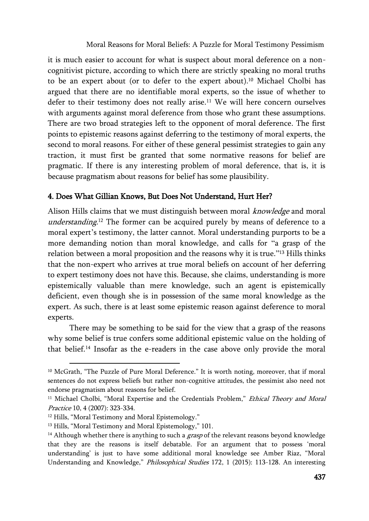it is much easier to account for what is suspect about moral deference on a noncognitivist picture, according to which there are strictly speaking no moral truths to be an expert about (or to defer to the expert about).<sup>10</sup> Michael Cholbi has argued that there are no identifiable moral experts, so the issue of whether to defer to their testimony does not really arise.<sup>11</sup> We will here concern ourselves with arguments against moral deference from those who grant these assumptions. There are two broad strategies left to the opponent of moral deference. The first points to epistemic reasons against deferring to the testimony of moral experts, the second to moral reasons. For either of these general pessimist strategies to gain any traction, it must first be granted that some normative reasons for belief are pragmatic. If there is any interesting problem of moral deference, that is, it is because pragmatism about reasons for belief has some plausibility.

## 4. Does What Gillian Knows, But Does Not Understand, Hurt Her?

Alison Hills claims that we must distinguish between moral knowledge and moral understanding.<sup>12</sup> The former can be acquired purely by means of deference to a moral expert's testimony, the latter cannot. Moral understanding purports to be a more demanding notion than moral knowledge, and calls for "a grasp of the relation between a moral proposition and the reasons why it is true." <sup>13</sup> Hills thinks that the non-expert who arrives at true moral beliefs on account of her deferring to expert testimony does not have this. Because, she claims, understanding is more epistemically valuable than mere knowledge, such an agent is epistemically deficient, even though she is in possession of the same moral knowledge as the expert. As such, there is at least some epistemic reason against deference to moral experts.

There may be something to be said for the view that a grasp of the reasons why some belief is true confers some additional epistemic value on the holding of that belief.<sup>14</sup> Insofar as the e-readers in the case above only provide the moral

<sup>&</sup>lt;sup>10</sup> McGrath, "The Puzzle of Pure Moral Deference." It is worth noting, moreover, that if moral sentences do not express beliefs but rather non-cognitive attitudes, the pessimist also need not endorse pragmatism about reasons for belief.

<sup>&</sup>lt;sup>11</sup> Michael Cholbi, "Moral Expertise and the Credentials Problem," Ethical Theory and Moral Practice 10, 4 (2007): 323-334.

<sup>&</sup>lt;sup>12</sup> Hills, "Moral Testimony and Moral Epistemology."

<sup>&</sup>lt;sup>13</sup> Hills, "Moral Testimony and Moral Epistemology," 101.

 $14$  Although whether there is anything to such a *grasp* of the relevant reasons beyond knowledge that they are the reasons is itself debatable. For an argument that to possess 'moral understanding' is just to have some additional moral knowledge see Amber Riaz, "Moral Understanding and Knowledge," Philosophical Studies 172, 1 (2015): 113-128. An interesting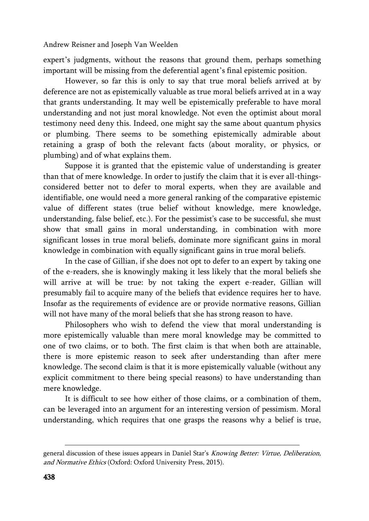expert's judgments, without the reasons that ground them, perhaps something important will be missing from the deferential agent's final epistemic position.

However, so far this is only to say that true moral beliefs arrived at by deference are not as epistemically valuable as true moral beliefs arrived at in a way that grants understanding. It may well be epistemically preferable to have moral understanding and not just moral knowledge. Not even the optimist about moral testimony need deny this. Indeed, one might say the same about quantum physics or plumbing. There seems to be something epistemically admirable about retaining a grasp of both the relevant facts (about morality, or physics, or plumbing) and of what explains them.

Suppose it is granted that the epistemic value of understanding is greater than that of mere knowledge. In order to justify the claim that it is ever all-thingsconsidered better not to defer to moral experts, when they are available and identifiable, one would need a more general ranking of the comparative epistemic value of different states (true belief without knowledge, mere knowledge, understanding, false belief, etc.). For the pessimist's case to be successful, she must show that small gains in moral understanding, in combination with more significant losses in true moral beliefs, dominate more significant gains in moral knowledge in combination with equally significant gains in true moral beliefs.

In the case of Gillian, if she does not opt to defer to an expert by taking one of the e-readers, she is knowingly making it less likely that the moral beliefs she will arrive at will be true: by not taking the expert e-reader, Gillian will presumably fail to acquire many of the beliefs that evidence requires her to have. Insofar as the requirements of evidence are or provide normative reasons, Gillian will not have many of the moral beliefs that she has strong reason to have.

Philosophers who wish to defend the view that moral understanding is more epistemically valuable than mere moral knowledge may be committed to one of two claims, or to both. The first claim is that when both are attainable, there is more epistemic reason to seek after understanding than after mere knowledge. The second claim is that it is more epistemically valuable (without any explicit commitment to there being special reasons) to have understanding than mere knowledge.

It is difficult to see how either of those claims, or a combination of them, can be leveraged into an argument for an interesting version of pessimism. Moral understanding, which requires that one grasps the reasons why a belief is true,

general discussion of these issues appears in Daniel Star's Knowing Better: Virtue, Deliberation, and Normative Ethics (Oxford: Oxford University Press, 2015).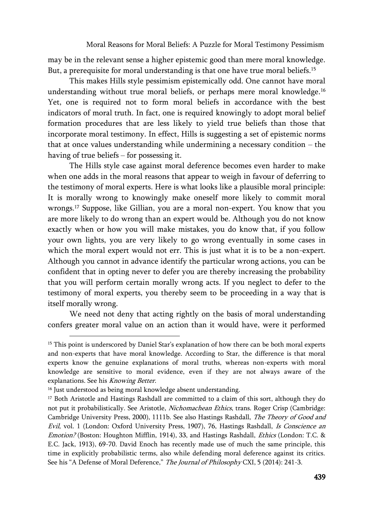may be in the relevant sense a higher epistemic good than mere moral knowledge. But, a prerequisite for moral understanding is that one have true moral beliefs.<sup>15</sup>

This makes Hills style pessimism epistemically odd. One cannot have moral understanding without true moral beliefs, or perhaps mere moral knowledge.<sup>16</sup> Yet, one is required not to form moral beliefs in accordance with the best indicators of moral truth. In fact, one is required knowingly to adopt moral belief formation procedures that are less likely to yield true beliefs than those that incorporate moral testimony. In effect, Hills is suggesting a set of epistemic norms that at once values understanding while undermining a necessary condition – the having of true beliefs – for possessing it.

The Hills style case against moral deference becomes even harder to make when one adds in the moral reasons that appear to weigh in favour of deferring to the testimony of moral experts. Here is what looks like a plausible moral principle: It is morally wrong to knowingly make oneself more likely to commit moral wrongs.<sup>17</sup> Suppose, like Gillian, you are a moral non-expert. You know that you are more likely to do wrong than an expert would be. Although you do not know exactly when or how you will make mistakes, you do know that, if you follow your own lights, you are very likely to go wrong eventually in some cases in which the moral expert would not err. This is just what it is to be a non-expert. Although you cannot in advance identify the particular wrong actions, you can be confident that in opting never to defer you are thereby increasing the probability that you will perform certain morally wrong acts. If you neglect to defer to the testimony of moral experts, you thereby seem to be proceeding in a way that is itself morally wrong.

We need not deny that acting rightly on the basis of moral understanding confers greater moral value on an action than it would have, were it performed

<sup>&</sup>lt;sup>15</sup> This point is underscored by Daniel Star's explanation of how there can be both moral experts and non-experts that have moral knowledge. According to Star, the difference is that moral experts know the genuine explanations of moral truths, whereas non-experts with moral knowledge are sensitive to moral evidence, even if they are not always aware of the explanations. See his Knowing Better.

<sup>&</sup>lt;sup>16</sup> Just understood as being moral knowledge absent understanding.

<sup>&</sup>lt;sup>17</sup> Both Aristotle and Hastings Rashdall are committed to a claim of this sort, although they do not put it probabilistically. See Aristotle, Nichomachean Ethics, trans. Roger Crisp (Cambridge: Cambridge University Press, 2000), 1111b. See also Hastings Rashdall, The Theory of Good and Evil, vol. 1 (London: Oxford University Press, 1907), 76, Hastings Rashdall, Is Conscience an Emotion? (Boston: Houghton Mifflin, 1914), 33, and Hastings Rashdall, Ethics (London: T.C. & E.C. Jack, 1913), 69-70. David Enoch has recently made use of much the same principle, this time in explicitly probabilistic terms, also while defending moral deference against its critics. See his "A Defense of Moral Deference," The Journal of Philosophy CXI, 5 (2014): 241-3.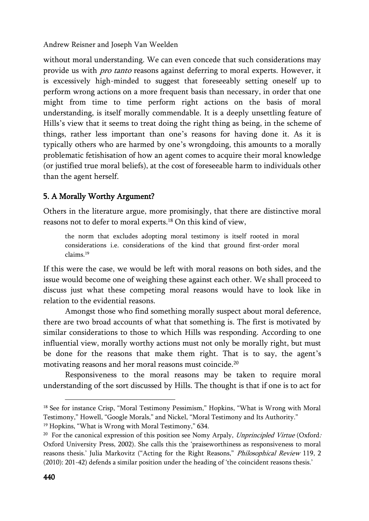without moral understanding. We can even concede that such considerations may provide us with *pro tanto* reasons against deferring to moral experts. However, it is excessively high-minded to suggest that foreseeably setting oneself up to perform wrong actions on a more frequent basis than necessary, in order that one might from time to time perform right actions on the basis of moral understanding, is itself morally commendable. It is a deeply unsettling feature of Hills's view that it seems to treat doing the right thing as being, in the scheme of things, rather less important than one's reasons for having done it. As it is typically others who are harmed by one's wrongdoing, this amounts to a morally problematic fetishisation of how an agent comes to acquire their moral knowledge (or justified true moral beliefs), at the cost of foreseeable harm to individuals other than the agent herself.

# 5. A Morally Worthy Argument?

Others in the literature argue, more promisingly, that there are distinctive moral reasons not to defer to moral experts.<sup>18</sup> On this kind of view,

the norm that excludes adopting moral testimony is itself rooted in moral considerations i.e. considerations of the kind that ground first-order moral claims.<sup>19</sup>

If this were the case, we would be left with moral reasons on both sides, and the issue would become one of weighing these against each other. We shall proceed to discuss just what these competing moral reasons would have to look like in relation to the evidential reasons.

Amongst those who find something morally suspect about moral deference, there are two broad accounts of what that something is. The first is motivated by similar considerations to those to which Hills was responding. According to one influential view, morally worthy actions must not only be morally right, but must be done for the reasons that make them right. That is to say, the agent's motivating reasons and her moral reasons must coincide.<sup>20</sup>

Responsiveness to the moral reasons may be taken to require moral understanding of the sort discussed by Hills. The thought is that if one is to act for

<sup>19</sup> Hopkins, "What is Wrong with Moral Testimony," 634.

<sup>&</sup>lt;sup>18</sup> See for instance Crisp, "Moral Testimony Pessimism," Hopkins, "What is Wrong with Moral Testimony," Howell, "Google Morals," and Nickel, "Moral Testimony and Its Authority."

<sup>&</sup>lt;sup>20</sup> For the canonical expression of this position see Nomy Arpaly, *Unprincipled Virtue* (Oxford: Oxford University Press, 2002). She calls this the 'praiseworthiness as responsiveness to moral reasons thesis.' Julia Markovitz ("Acting for the Right Reasons," Philosophical Review 119, 2 (2010): 201-42) defends a similar position under the heading of 'the coincident reasons thesis.'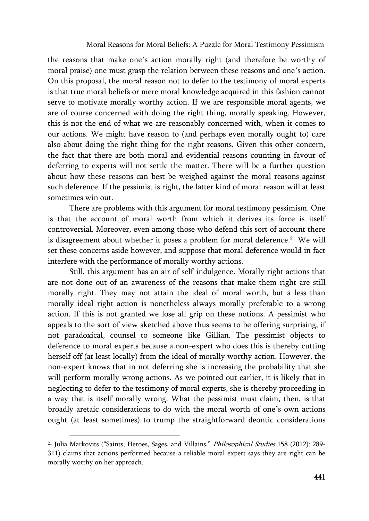the reasons that make one's action morally right (and therefore be worthy of moral praise) one must grasp the relation between these reasons and one's action. On this proposal, the moral reason not to defer to the testimony of moral experts is that true moral beliefs or mere moral knowledge acquired in this fashion cannot serve to motivate morally worthy action. If we are responsible moral agents, we are of course concerned with doing the right thing, morally speaking. However, this is not the end of what we are reasonably concerned with, when it comes to our actions. We might have reason to (and perhaps even morally ought to) care also about doing the right thing for the right reasons. Given this other concern, the fact that there are both moral and evidential reasons counting in favour of deferring to experts will not settle the matter. There will be a further question about how these reasons can best be weighed against the moral reasons against such deference. If the pessimist is right, the latter kind of moral reason will at least sometimes win out.

There are problems with this argument for moral testimony pessimism. One is that the account of moral worth from which it derives its force is itself controversial. Moreover, even among those who defend this sort of account there is disagreement about whether it poses a problem for moral deference.<sup>21</sup> We will set these concerns aside however, and suppose that moral deference would in fact interfere with the performance of morally worthy actions.

Still, this argument has an air of self-indulgence. Morally right actions that are not done out of an awareness of the reasons that make them right are still morally right. They may not attain the ideal of moral worth, but a less than morally ideal right action is nonetheless always morally preferable to a wrong action. If this is not granted we lose all grip on these notions. A pessimist who appeals to the sort of view sketched above thus seems to be offering surprising, if not paradoxical, counsel to someone like Gillian. The pessimist objects to deference to moral experts because a non-expert who does this is thereby cutting herself off (at least locally) from the ideal of morally worthy action. However, the non-expert knows that in not deferring she is increasing the probability that she will perform morally wrong actions. As we pointed out earlier, it is likely that in neglecting to defer to the testimony of moral experts, she is thereby proceeding in a way that is itself morally wrong. What the pessimist must claim, then, is that broadly aretaic considerations to do with the moral worth of one's own actions ought (at least sometimes) to trump the straightforward deontic considerations

<sup>&</sup>lt;sup>21</sup> Julia Markovits ("Saints, Heroes, Sages, and Villains," *Philosophical Studies* 158 (2012): 289-311) claims that actions performed because a reliable moral expert says they are right can be morally worthy on her approach.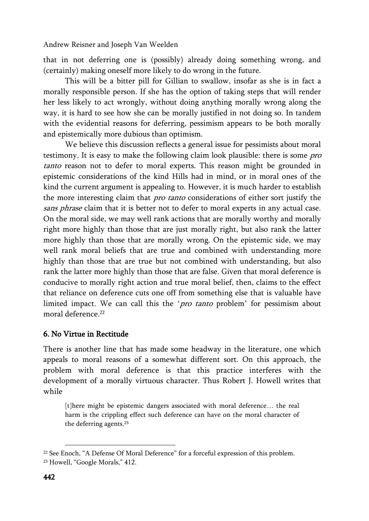that in not deferring one is (possibly) already doing something wrong, and (certainly) making oneself more likely to do wrong in the future.

This will be a bitter pill for Gillian to swallow, insofar as she is in fact a morally responsible person. If she has the option of taking steps that will render her less likely to act wrongly, without doing anything morally wrong along the way, it is hard to see how she can be morally justified in not doing so. In tandem with the evidential reasons for deferring, pessimism appears to be both morally and epistemically more dubious than optimism.

We believe this discussion reflects a general issue for pessimists about moral testimony. It is easy to make the following claim look plausible: there is some *pro* tanto reason not to defer to moral experts. This reason might be grounded in epistemic considerations of the kind Hills had in mind, or in moral ones of the kind the current argument is appealing to. However, it is much harder to establish the more interesting claim that *pro tanto* considerations of either sort justify the sans phrase claim that it is better not to defer to moral experts in any actual case. On the moral side, we may well rank actions that are morally worthy and morally right more highly than those that are just morally right, but also rank the latter more highly than those that are morally wrong. On the epistemic side, we may well rank moral beliefs that are true and combined with understanding more highly than those that are true but not combined with understanding, but also rank the latter more highly than those that are false. Given that moral deference is conducive to morally right action and true moral belief, then, claims to the effect that reliance on deference cuts one off from something else that is valuable have limited impact. We can call this the '*pro tanto* problem' for pessimism about moral deference.<sup>22</sup>

# 6. No Virtue in Rectitude

There is another line that has made some headway in the literature, one which appeals to moral reasons of a somewhat different sort. On this approach, the problem with moral deference is that this practice interferes with the development of a morally virtuous character. Thus Robert J. Howell writes that while

[t]here might be epistemic dangers associated with moral deference… the real harm is the crippling effect such deference can have on the moral character of the deferring agents.<sup>23</sup>

<sup>&</sup>lt;sup>22</sup> See Enoch, "A Defense Of Moral Deference" for a forceful expression of this problem.

<sup>23</sup> Howell, "Google Morals," 412.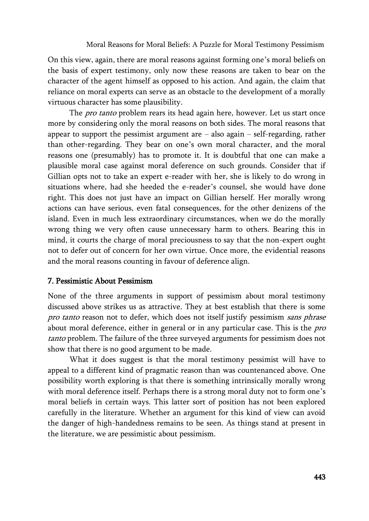On this view, again, there are moral reasons against forming one's moral beliefs on the basis of expert testimony, only now these reasons are taken to bear on the character of the agent himself as opposed to his action. And again, the claim that reliance on moral experts can serve as an obstacle to the development of a morally virtuous character has some plausibility.

The *pro tanto* problem rears its head again here, however. Let us start once more by considering only the moral reasons on both sides. The moral reasons that appear to support the pessimist argument are – also again – self-regarding, rather than other-regarding. They bear on one's own moral character, and the moral reasons one (presumably) has to promote it. It is doubtful that one can make a plausible moral case against moral deference on such grounds. Consider that if Gillian opts not to take an expert e-reader with her, she is likely to do wrong in situations where, had she heeded the e-reader's counsel, she would have done right. This does not just have an impact on Gillian herself. Her morally wrong actions can have serious, even fatal consequences, for the other denizens of the island. Even in much less extraordinary circumstances, when we do the morally wrong thing we very often cause unnecessary harm to others. Bearing this in mind, it courts the charge of moral preciousness to say that the non-expert ought not to defer out of concern for her own virtue. Once more, the evidential reasons and the moral reasons counting in favour of deference align.

## 7. Pessimistic About Pessimism

None of the three arguments in support of pessimism about moral testimony discussed above strikes us as attractive. They at best establish that there is some pro tanto reason not to defer, which does not itself justify pessimism sans phrase about moral deference, either in general or in any particular case. This is the *pro* tanto problem. The failure of the three surveyed arguments for pessimism does not show that there is no good argument to be made.

What it does suggest is that the moral testimony pessimist will have to appeal to a different kind of pragmatic reason than was countenanced above. One possibility worth exploring is that there is something intrinsically morally wrong with moral deference itself. Perhaps there is a strong moral duty not to form one's moral beliefs in certain ways. This latter sort of position has not been explored carefully in the literature. Whether an argument for this kind of view can avoid the danger of high-handedness remains to be seen. As things stand at present in the literature, we are pessimistic about pessimism.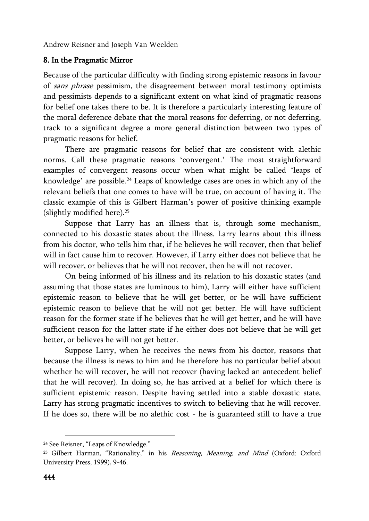### 8. In the Pragmatic Mirror

Because of the particular difficulty with finding strong epistemic reasons in favour of *sans phrase* pessimism, the disagreement between moral testimony optimists and pessimists depends to a significant extent on what kind of pragmatic reasons for belief one takes there to be. It is therefore a particularly interesting feature of the moral deference debate that the moral reasons for deferring, or not deferring, track to a significant degree a more general distinction between two types of pragmatic reasons for belief.

There are pragmatic reasons for belief that are consistent with alethic norms. Call these pragmatic reasons 'convergent.' The most straightforward examples of convergent reasons occur when what might be called 'leaps of knowledge' are possible.<sup>24</sup> Leaps of knowledge cases are ones in which any of the relevant beliefs that one comes to have will be true, on account of having it. The classic example of this is Gilbert Harman's power of positive thinking example (slightly modified here).<sup>25</sup>

Suppose that Larry has an illness that is, through some mechanism, connected to his doxastic states about the illness. Larry learns about this illness from his doctor, who tells him that, if he believes he will recover, then that belief will in fact cause him to recover. However, if Larry either does not believe that he will recover, or believes that he will not recover, then he will not recover.

On being informed of his illness and its relation to his doxastic states (and assuming that those states are luminous to him), Larry will either have sufficient epistemic reason to believe that he will get better, or he will have sufficient epistemic reason to believe that he will not get better. He will have sufficient reason for the former state if he believes that he will get better, and he will have sufficient reason for the latter state if he either does not believe that he will get better, or believes he will not get better.

Suppose Larry, when he receives the news from his doctor, reasons that because the illness is news to him and he therefore has no particular belief about whether he will recover, he will not recover (having lacked an antecedent belief that he will recover). In doing so, he has arrived at a belief for which there is sufficient epistemic reason. Despite having settled into a stable doxastic state, Larry has strong pragmatic incentives to switch to believing that he will recover. If he does so, there will be no alethic cost - he is guaranteed still to have a true

<sup>24</sup> See Reisner, "Leaps of Knowledge."

<sup>&</sup>lt;sup>25</sup> Gilbert Harman, "Rationality," in his Reasoning, Meaning, and Mind (Oxford: Oxford University Press, 1999), 9-46.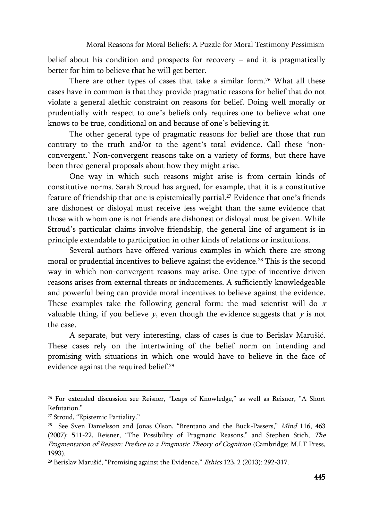belief about his condition and prospects for recovery – and it is pragmatically better for him to believe that he will get better.

There are other types of cases that take a similar form.<sup>26</sup> What all these cases have in common is that they provide pragmatic reasons for belief that do not violate a general alethic constraint on reasons for belief. Doing well morally or prudentially with respect to one's beliefs only requires one to believe what one knows to be true, conditional on and because of one's believing it.

The other general type of pragmatic reasons for belief are those that run contrary to the truth and/or to the agent's total evidence. Call these 'nonconvergent.' Non-convergent reasons take on a variety of forms, but there have been three general proposals about how they might arise.

One way in which such reasons might arise is from certain kinds of constitutive norms. Sarah Stroud has argued, for example, that it is a constitutive feature of friendship that one is epistemically partial.<sup>27</sup> Evidence that one's friends are dishonest or disloyal must receive less weight than the same evidence that those with whom one is not friends are dishonest or disloyal must be given. While Stroud's particular claims involve friendship, the general line of argument is in principle extendable to participation in other kinds of relations or institutions.

Several authors have offered various examples in which there are strong moral or prudential incentives to believe against the evidence.<sup>28</sup> This is the second way in which non-convergent reasons may arise. One type of incentive driven reasons arises from external threats or inducements. A sufficiently knowledgeable and powerful being can provide moral incentives to believe against the evidence. These examples take the following general form: the mad scientist will do  $x$ valuable thing, if you believe  $y$ , even though the evidence suggests that  $y$  is not the case.

A separate, but very interesting, class of cases is due to Berislav Marušić. These cases rely on the intertwining of the belief norm on intending and promising with situations in which one would have to believe in the face of evidence against the required belief.<sup>29</sup>

<sup>26</sup> For extended discussion see Reisner, "Leaps of Knowledge," as well as Reisner, "A Short Refutation."

<sup>27</sup> Stroud, "Epistemic Partiality."

<sup>&</sup>lt;sup>28</sup> See Sven Danielsson and Jonas Olson, "Brentano and the Buck-Passers," *Mind* 116, 463 (2007): 511-22, Reisner, "The Possibility of Pragmatic Reasons," and Stephen Stich, The Fragmentation of Reason: Preface to a Pragmatic Theory of Cognition (Cambridge: M.I.T Press, 1993).

<sup>&</sup>lt;sup>29</sup> Berislav Marušić, "Promising against the Evidence," Ethics 123, 2 (2013): 292-317.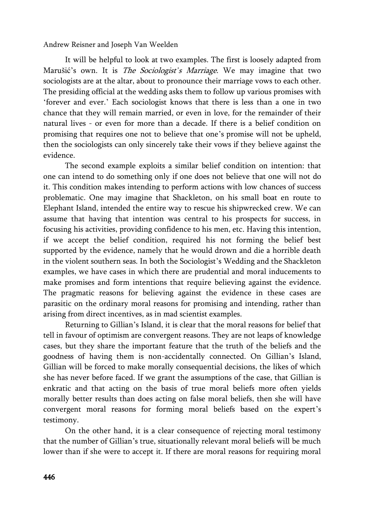It will be helpful to look at two examples. The first is loosely adapted from Marušić's own. It is The Sociologist*'*s Marriage. We may imagine that two sociologists are at the altar, about to pronounce their marriage vows to each other. The presiding official at the wedding asks them to follow up various promises with 'forever and ever.' Each sociologist knows that there is less than a one in two chance that they will remain married, or even in love, for the remainder of their natural lives - or even for more than a decade. If there is a belief condition on promising that requires one not to believe that one's promise will not be upheld, then the sociologists can only sincerely take their vows if they believe against the evidence.

The second example exploits a similar belief condition on intention: that one can intend to do something only if one does not believe that one will not do it. This condition makes intending to perform actions with low chances of success problematic. One may imagine that Shackleton, on his small boat en route to Elephant Island, intended the entire way to rescue his shipwrecked crew. We can assume that having that intention was central to his prospects for success, in focusing his activities, providing confidence to his men, etc. Having this intention, if we accept the belief condition, required his not forming the belief best supported by the evidence, namely that he would drown and die a horrible death in the violent southern seas. In both the Sociologist's Wedding and the Shackleton examples, we have cases in which there are prudential and moral inducements to make promises and form intentions that require believing against the evidence. The pragmatic reasons for believing against the evidence in these cases are parasitic on the ordinary moral reasons for promising and intending, rather than arising from direct incentives, as in mad scientist examples.

Returning to Gillian's Island, it is clear that the moral reasons for belief that tell in favour of optimism are convergent reasons. They are not leaps of knowledge cases, but they share the important feature that the truth of the beliefs and the goodness of having them is non-accidentally connected. On Gillian's Island, Gillian will be forced to make morally consequential decisions, the likes of which she has never before faced. If we grant the assumptions of the case, that Gillian is enkratic and that acting on the basis of true moral beliefs more often yields morally better results than does acting on false moral beliefs, then she will have convergent moral reasons for forming moral beliefs based on the expert's testimony.

On the other hand, it is a clear consequence of rejecting moral testimony that the number of Gillian's true, situationally relevant moral beliefs will be much lower than if she were to accept it. If there are moral reasons for requiring moral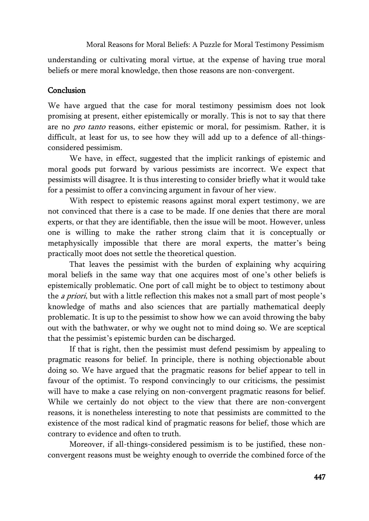Moral Reasons for Moral Beliefs: A Puzzle for Moral Testimony Pessimism

understanding or cultivating moral virtue, at the expense of having true moral beliefs or mere moral knowledge, then those reasons are non-convergent.

## Conclusion

We have argued that the case for moral testimony pessimism does not look promising at present, either epistemically or morally. This is not to say that there are no *pro tanto* reasons, either epistemic or moral, for pessimism. Rather, it is difficult, at least for us, to see how they will add up to a defence of all-thingsconsidered pessimism.

We have, in effect, suggested that the implicit rankings of epistemic and moral goods put forward by various pessimists are incorrect. We expect that pessimists will disagree. It is thus interesting to consider briefly what it would take for a pessimist to offer a convincing argument in favour of her view.

With respect to epistemic reasons against moral expert testimony, we are not convinced that there is a case to be made. If one denies that there are moral experts, or that they are identifiable, then the issue will be moot. However, unless one is willing to make the rather strong claim that it is conceptually or metaphysically impossible that there are moral experts, the matter's being practically moot does not settle the theoretical question.

That leaves the pessimist with the burden of explaining why acquiring moral beliefs in the same way that one acquires most of one's other beliefs is epistemically problematic. One port of call might be to object to testimony about the *a priori*, but with a little reflection this makes not a small part of most people's knowledge of maths and also sciences that are partially mathematical deeply problematic. It is up to the pessimist to show how we can avoid throwing the baby out with the bathwater, or why we ought not to mind doing so. We are sceptical that the pessimist's epistemic burden can be discharged.

If that is right, then the pessimist must defend pessimism by appealing to pragmatic reasons for belief. In principle, there is nothing objectionable about doing so. We have argued that the pragmatic reasons for belief appear to tell in favour of the optimist. To respond convincingly to our criticisms, the pessimist will have to make a case relying on non-convergent pragmatic reasons for belief. While we certainly do not object to the view that there are non-convergent reasons, it is nonetheless interesting to note that pessimists are committed to the existence of the most radical kind of pragmatic reasons for belief, those which are contrary to evidence and often to truth.

Moreover, if all-things-considered pessimism is to be justified, these nonconvergent reasons must be weighty enough to override the combined force of the